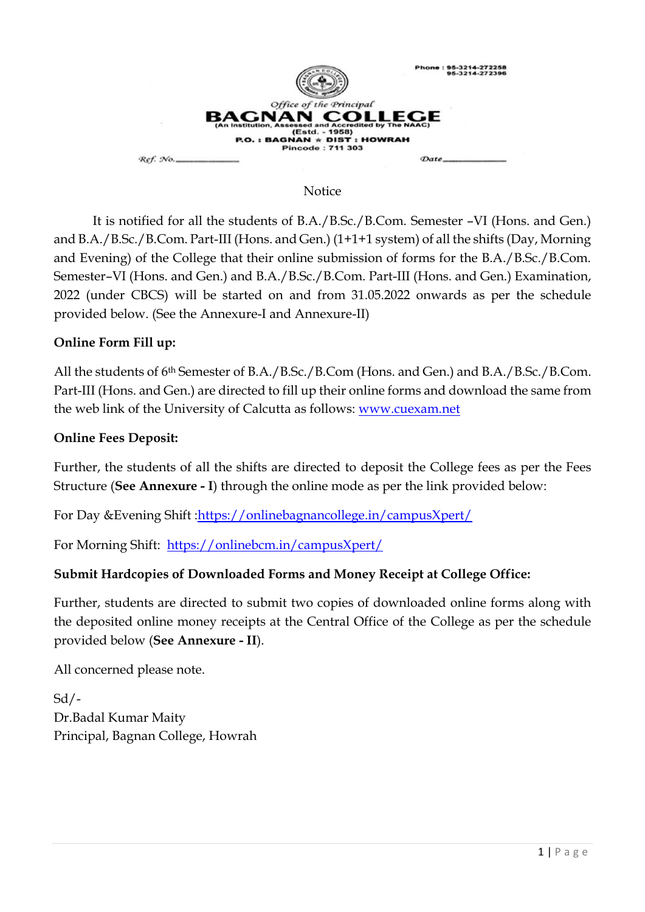

#### **Notice**

It is notified for all the students of B.A./B.Sc./B.Com. Semester –VI (Hons. and Gen.) and B.A./B.Sc./B.Com. Part-III (Hons. and Gen.) (1+1+1 system) of all the shifts (Day, Morning and Evening) of the College that their online submission of forms for the B.A./B.Sc./B.Com. Semester–VI (Hons. and Gen.) and B.A./B.Sc./B.Com. Part-III (Hons. and Gen.) Examination, 2022 (under CBCS) will be started on and from 31.05.2022 onwards as per the schedule provided below. (See the Annexure-I and Annexure-II)

## **Online Form Fill up:**

All the students of 6th Semester of B.A./B.Sc./B.Com (Hons. and Gen.) and B.A./B.Sc./B.Com. Part-III (Hons. and Gen.) are directed to fill up their online forms and download the same from the web link of the University of Calcutta as follows: [www.cuexam.net](http://www.cuexam.net/)

## **Online Fees Deposit:**

Further, the students of all the shifts are directed to deposit the College fees as per the Fees Structure (**See Annexure - I**) through the online mode as per the link provided below:

For Day &Evening Shift [:https://onlinebagnancollege.in/campusXpert/](https://onlinebagnancollege.in/campusXpert/)

For Morning Shift: <https://onlinebcm.in/campusXpert/>

## **Submit Hardcopies of Downloaded Forms and Money Receipt at College Office:**

Further, students are directed to submit two copies of downloaded online forms along with the deposited online money receipts at the Central Office of the College as per the schedule provided below (**See Annexure - II**).

All concerned please note.

 $Sd/$ -Dr.Badal Kumar Maity Principal, Bagnan College, Howrah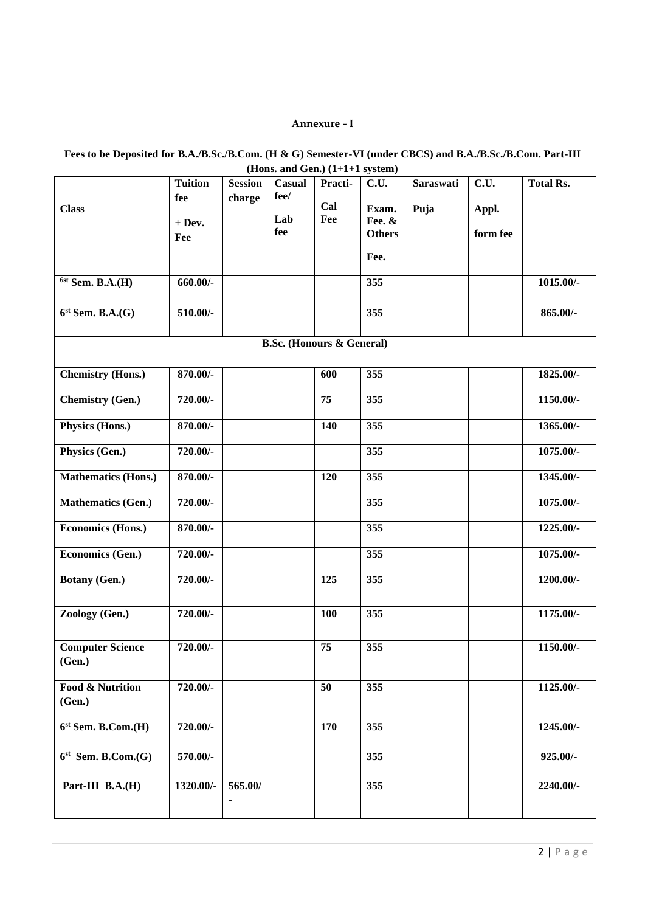#### **Annexure - I**

| Fees to be Deposited for B.A./B.Sc./B.Com. (H & G) Semester-VI (under CBCS) and B.A./B.Sc./B.Com. Part-III |
|------------------------------------------------------------------------------------------------------------|
| (Hons. and Gen.) $(1+1+1$ system)                                                                          |

|                                       | <b>Tuition</b> | <b>Session</b> | Casual     | (10000, 0000, 0000)<br>Practi-   | C.U.             | Saraswati | C.U.     | <b>Total Rs.</b> |
|---------------------------------------|----------------|----------------|------------|----------------------------------|------------------|-----------|----------|------------------|
|                                       | fee            | charge         | fee/       |                                  |                  |           |          |                  |
| <b>Class</b>                          |                |                |            | Cal                              | Exam.            | Puja      | Appl.    |                  |
|                                       | $+$ Dev.       |                | Lab<br>fee | Fee                              | Fee. &           |           |          |                  |
|                                       | Fee            |                |            |                                  | <b>Others</b>    |           | form fee |                  |
|                                       |                |                |            |                                  | Fee.             |           |          |                  |
| $6st$ Sem. B.A. $(H)$                 | $660.00/-$     |                |            |                                  | 355              |           |          | $1015.00/-$      |
| $6st$ Sem. B.A. $(G)$                 | 510.00/-       |                |            |                                  | $\overline{355}$ |           |          | 865.00/-         |
|                                       |                |                |            | <b>B.Sc.</b> (Honours & General) |                  |           |          |                  |
|                                       |                |                |            |                                  |                  |           |          |                  |
| <b>Chemistry (Hons.)</b>              | 870.00/-       |                |            | 600                              | 355              |           |          | 1825.00/-        |
| <b>Chemistry (Gen.)</b>               | 720.00/-       |                |            | 75                               | 355              |           |          | 1150.00/-        |
| Physics (Hons.)                       | 870.00/-       |                |            | 140                              | 355              |           |          | 1365.00/-        |
| Physics (Gen.)                        | 720.00/-       |                |            |                                  | 355              |           |          | 1075.00/-        |
| <b>Mathematics (Hons.)</b>            | 870.00/-       |                |            | 120                              | 355              |           |          | 1345.00/-        |
| <b>Mathematics (Gen.)</b>             | 720.00/-       |                |            |                                  | 355              |           |          | 1075.00/-        |
| Economics (Hons.)                     | 870.00/-       |                |            |                                  | 355              |           |          | 1225.00/-        |
| Economics (Gen.)                      | 720.00/-       |                |            |                                  | 355              |           |          | 1075.00/-        |
| <b>Botany (Gen.)</b>                  | 720.00/-       |                |            | 125                              | 355              |           |          | 1200.00/-        |
| Zoology (Gen.)                        | 720.00/-       |                |            | 100                              | 355              |           |          | 1175.00/-        |
| <b>Computer Science</b><br>(Gen.)     | 720.00/-       |                |            | 75                               | 355              |           |          | 1150.00/-        |
| <b>Food &amp; Nutrition</b><br>(Gen.) | 720.00/-       |                |            | 50                               | 355              |           |          | 1125.00/-        |
| $6st$ Sem. B.Com. $(H)$               | 720.00/-       |                |            | 170                              | 355              |           |          | 1245.00/-        |
| $6st$ Sem. B.Com.(G)                  | 570.00/-       |                |            |                                  | 355              |           |          | 925.00/-         |
| Part-III B.A.(H)                      | 1320.00/-      | 565.00/        |            |                                  | 355              |           |          | 2240.00/-        |
|                                       |                |                |            |                                  |                  |           |          |                  |